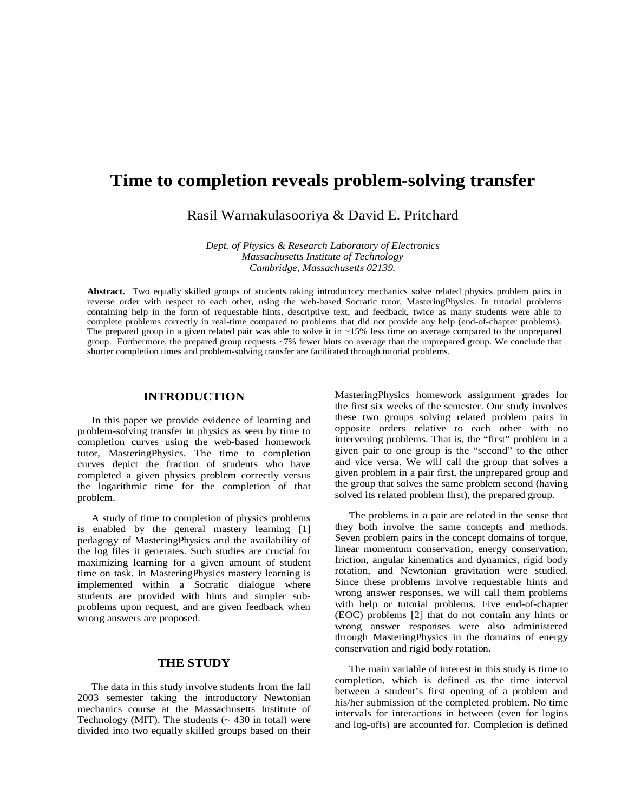# **Time to completion reveals problem-solving transfer**

Rasil Warnakulasooriya & David E. Pritchard

*Dept. of Physics & Research Laboratory of Electronics Massachusetts Institute of Technology Cambridge, Massachusetts 02139.* 

**Abstract.** Two equally skilled groups of students taking introductory mechanics solve related physics problem pairs in reverse order with respect to each other, using the web-based Socratic tutor, MasteringPhysics. In tutorial problems containing help in the form of requestable hints, descriptive text, and feedback, twice as many students were able to complete problems correctly in real-time compared to problems that did not provide any help (end-of-chapter problems). The prepared group in a given related pair was able to solve it in ~15% less time on average compared to the unprepared group. Furthermore, the prepared group requests ~7% fewer hints on average than the unprepared group. We conclude that shorter completion times and problem-solving transfer are facilitated through tutorial problems.

# **INTRODUCTION**

In this paper we provide evidence of learning and problem-solving transfer in physics as seen by time to completion curves using the web-based homework tutor, MasteringPhysics. The time to completion curves depict the fraction of students who have completed a given physics problem correctly versus the logarithmic time for the completion of that problem.

A study of time to completion of physics problems is enabled by the general mastery learning [1] pedagogy of MasteringPhysics and the availability of the log files it generates. Such studies are crucial for maximizing learning for a given amount of student time on task. In MasteringPhysics mastery learning is implemented within a Socratic dialogue where students are provided with hints and simpler subproblems upon request, and are given feedback when wrong answers are proposed.

## **THE STUDY**

The data in this study involve students from the fall 2003 semester taking the introductory Newtonian mechanics course at the Massachusetts Institute of Technology (MIT). The students  $($   $\sim$  430 in total) were divided into two equally skilled groups based on their

MasteringPhysics homework assignment grades for the first six weeks of the semester. Our study involves these two groups solving related problem pairs in opposite orders relative to each other with no intervening problems. That is, the "first" problem in a given pair to one group is the "second" to the other and vice versa. We will call the group that solves a given problem in a pair first, the unprepared group and the group that solves the same problem second (having solved its related problem first), the prepared group.

The problems in a pair are related in the sense that they both involve the same concepts and methods. Seven problem pairs in the concept domains of torque, linear momentum conservation, energy conservation, friction, angular kinematics and dynamics, rigid body rotation, and Newtonian gravitation were studied. Since these problems involve requestable hints and wrong answer responses, we will call them problems with help or tutorial problems. Five end-of-chapter (EOC) problems [2] that do not contain any hints or wrong answer responses were also administered through MasteringPhysics in the domains of energy conservation and rigid body rotation.

The main variable of interest in this study is time to completion, which is defined as the time interval between a student's first opening of a problem and his/her submission of the completed problem. No time intervals for interactions in between (even for logins and log-offs) are accounted for. Completion is defined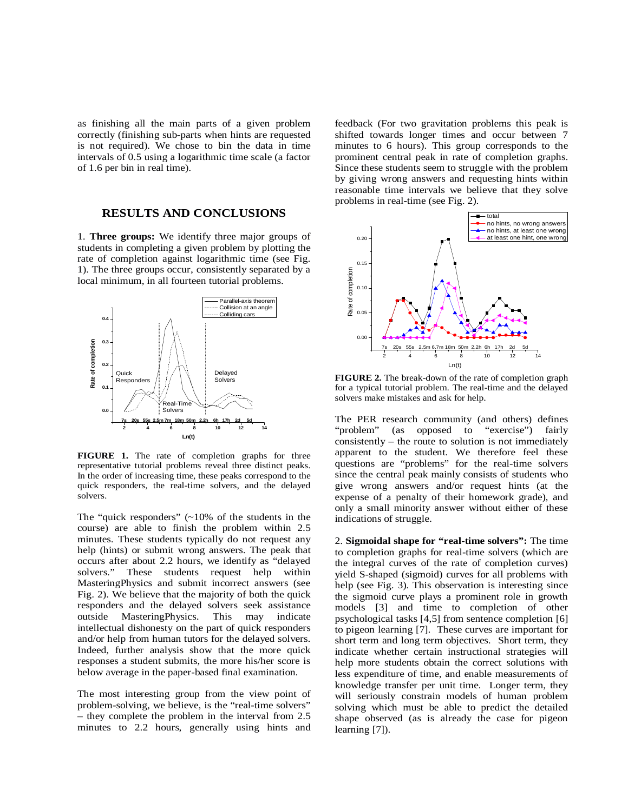as finishing all the main parts of a given problem correctly (finishing sub-parts when hints are requested is not required). We chose to bin the data in time intervals of 0.5 using a logarithmic time scale (a factor of 1.6 per bin in real time).

#### **RESULTS AND CONCLUSIONS**

1. **Three groups:** We identify three major groups of students in completing a given problem by plotting the rate of completion against logarithmic time (see Fig. 1). The three groups occur, consistently separated by a local minimum, in all fourteen tutorial problems.



**FIGURE 1.** The rate of completion graphs for three representative tutorial problems reveal three distinct peaks. In the order of increasing time, these peaks correspond to the quick responders, the real-time solvers, and the delayed solvers.

The "quick responders" (~10% of the students in the course) are able to finish the problem within 2.5 minutes. These students typically do not request any help (hints) or submit wrong answers. The peak that occurs after about 2.2 hours, we identify as "delayed solvers." These students request help within MasteringPhysics and submit incorrect answers (see Fig. 2). We believe that the majority of both the quick responders and the delayed solvers seek assistance outside MasteringPhysics. This may indicate intellectual dishonesty on the part of quick responders and/or help from human tutors for the delayed solvers. Indeed, further analysis show that the more quick responses a student submits, the more his/her score is below average in the paper-based final examination.

The most interesting group from the view point of problem-solving, we believe, is the "real-time solvers" – they complete the problem in the interval from 2.5 minutes to 2.2 hours, generally using hints and feedback (For two gravitation problems this peak is shifted towards longer times and occur between 7 minutes to 6 hours). This group corresponds to the prominent central peak in rate of completion graphs. Since these students seem to struggle with the problem by giving wrong answers and requesting hints within reasonable time intervals we believe that they solve problems in real-time (see Fig. 2).



**FIGURE 2.** The break-down of the rate of completion graph for a typical tutorial problem. The real-time and the delayed solvers make mistakes and ask for help.

The PER research community (and others) defines "problem" (as opposed to "exercise") fairly consistently – the route to solution is not immediately apparent to the student. We therefore feel these questions are "problems" for the real-time solvers since the central peak mainly consists of students who give wrong answers and/or request hints (at the expense of a penalty of their homework grade), and only a small minority answer without either of these indications of struggle.

2. **Sigmoidal shape for "real-time solvers":** The time to completion graphs for real-time solvers (which are the integral curves of the rate of completion curves) yield S-shaped (sigmoid) curves for all problems with help (see Fig. 3). This observation is interesting since the sigmoid curve plays a prominent role in growth models [3] and time to completion of other psychological tasks [4,5] from sentence completion [6] to pigeon learning [7]. These curves are important for short term and long term objectives. Short term, they indicate whether certain instructional strategies will help more students obtain the correct solutions with less expenditure of time, and enable measurements of knowledge transfer per unit time. Longer term, they will seriously constrain models of human problem solving which must be able to predict the detailed shape observed (as is already the case for pigeon learning [7]).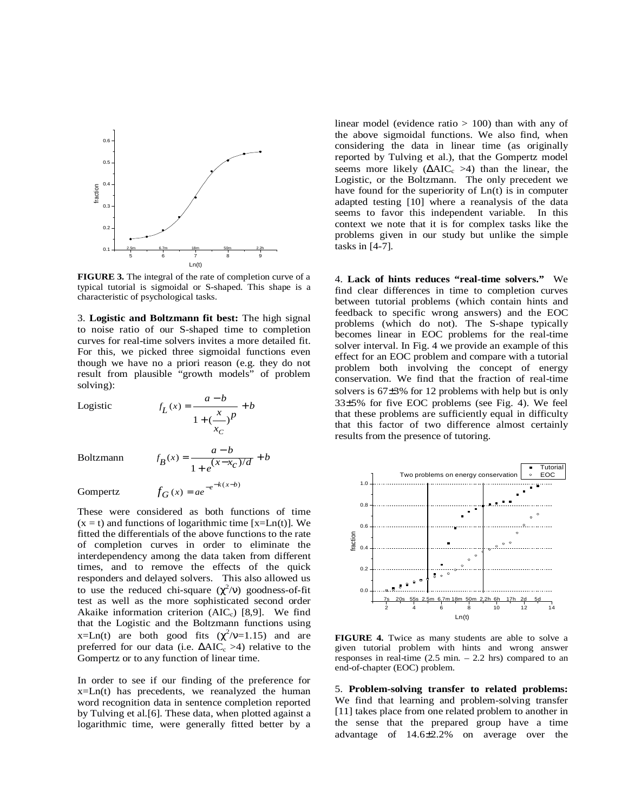

**FIGURE 3.** The integral of the rate of completion curve of a typical tutorial is sigmoidal or S-shaped. This shape is a characteristic of psychological tasks.

3. **Logistic and Boltzmann fit best:** The high signal to noise ratio of our S-shaped time to completion curves for real-time solvers invites a more detailed fit. For this, we picked three sigmoidal functions even though we have no a priori reason (e.g. they do not result from plausible "growth models" of problem solving):

Logistic *f*

$$
\dot{L}(x) = \frac{a - b}{1 + \left(\frac{x}{x_C}\right)^p}
$$

 $B(x) = \frac{a-b}{1+x}$ 

+ *b*

Boltzmann *f*

Gompertz

 $\frac{a}{1 + e^{(x - x_c)/d}} + b$  $f_G(x) = ae^{-e^{-k(x-b)}}$ 

These were considered as both functions of time  $(x = t)$  and functions of logarithmic time [x=Ln(t)]. We fitted the differentials of the above functions to the rate of completion curves in order to eliminate the interdependency among the data taken from different times, and to remove the effects of the quick responders and delayed solvers. This also allowed us to use the reduced chi-square  $(\chi^2/v)$  goodness-of-fit test as well as the more sophisticated second order Akaike information criterion  $(AIC_c)$  [8,9]. We find that the Logistic and the Boltzmann functions using x=Ln(t) are both good fits  $(\chi^2/\nu=1.15)$  and are preferred for our data (i.e.  $\Delta AIC_c > 4$ ) relative to the Gompertz or to any function of linear time.

In order to see if our finding of the preference for  $x=Ln(t)$  has precedents, we reanalyzed the human word recognition data in sentence completion reported by Tulving et al.[6]. These data, when plotted against a logarithmic time, were generally fitted better by a linear model (evidence ratio  $> 100$ ) than with any of the above sigmoidal functions. We also find, when considering the data in linear time (as originally reported by Tulving et al.), that the Gompertz model seems more likely  $(ΔAIC<sub>c</sub> >4)$  than the linear, the Logistic, or the Boltzmann. The only precedent we have found for the superiority of Ln(t) is in computer adapted testing [10] where a reanalysis of the data seems to favor this independent variable. In this context we note that it is for complex tasks like the problems given in our study but unlike the simple tasks in [4-7].

4. **Lack of hints reduces "real-time solvers."** We find clear differences in time to completion curves between tutorial problems (which contain hints and feedback to specific wrong answers) and the EOC problems (which do not). The S-shape typically becomes linear in EOC problems for the real-time solver interval. In Fig. 4 we provide an example of this effect for an EOC problem and compare with a tutorial problem both involving the concept of energy conservation. We find that the fraction of real-time solvers is 67±3% for 12 problems with help but is only 33±5% for five EOC problems (see Fig. 4). We feel that these problems are sufficiently equal in difficulty that this factor of two difference almost certainly results from the presence of tutoring.



**FIGURE 4.** Twice as many students are able to solve a given tutorial problem with hints and wrong answer responses in real-time  $(2.5 \text{ min.} - 2.2 \text{ hrs})$  compared to an end-of-chapter (EOC) problem.

5. **Problem-solving transfer to related problems:**  We find that learning and problem-solving transfer [11] takes place from one related problem to another in the sense that the prepared group have a time advantage of 14.6±2.2% on average over the